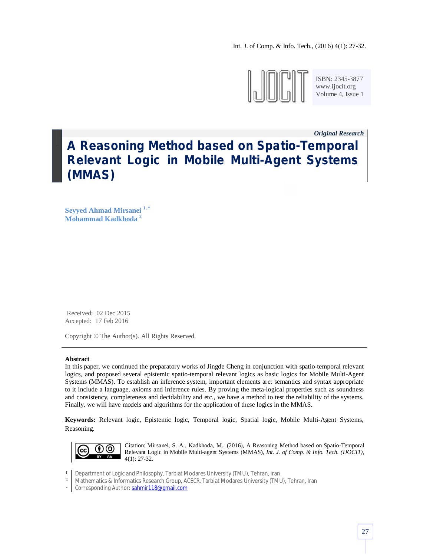

ISBN: 2345-3877 www.ijocit.org Volume 4, Issue 1

*Original Research \_*

# **A Reasoning Method based on Spatio-Temporal Relevant Logic in Mobile Multi-Agent Systems (MMAS)**

**Seyyed Ahmad Mirsanei 1, \* Mohammad Kadkhoda <sup>2</sup>**

Received: 02 Dec 2015 Accepted: 17 Feb 2016

Copyright © The Author(s). All Rights Reserved.

## **Abstract**

In this paper, we continued the preparatory works of Jingde Cheng in conjunction with spatio-temporal relevant logics, and proposed several epistemic spatio-temporal relevant logics as basic logics for Mobile Multi-Agent Systems (MMAS). To establish an inference system, important elements are: semantics and syntax appropriate to it include a language, axioms and inference rules. By proving the meta-logical properties such as soundness and consistency, completeness and decidability and etc., we have a method to test the reliability of the systems. Finally, we will have models and algorithms for the application of these logics in the MMAS.

**Keywords:** Relevant logic, Epistemic logic, Temporal logic, Spatial logic, Mobile Multi-Agent Systems, Reasoning.



Citation: Mirsanei, S. A., Kadkhoda, M., (2016), A Reasoning Method based on Spatio-Temporal Relevant Logic in Mobile Multi-agent Systems (MMAS), *Int. J. of Comp. & Info. Tech. (IJOCIT)*, 4(1): 27-32.

- 1 Department of Logic and Philosophy, Tarbiat Modares University (TMU), Tehran, Iran
- 2 Mathematics & Informatics Research Group, ACECR, Tarbiat Modares University (TMU), Tehran, Iran
- \* Corresponding Author: sahmir118@gmail.com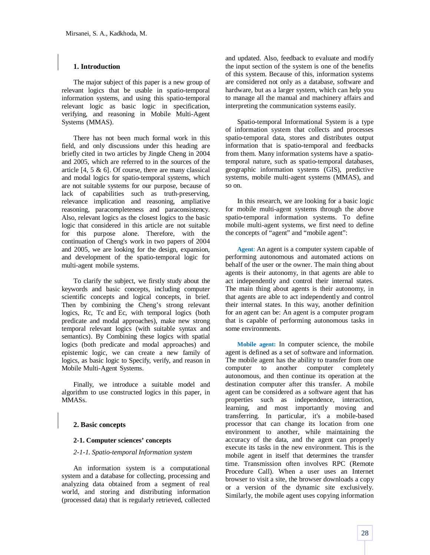## **1. Introduction**

The major subject of this paper is a new group of relevant logics that be usable in spatio-temporal information systems, and using this spatio-temporal relevant logic as basic logic in specification, verifying, and reasoning in Mobile Multi-Agent Systems (MMAS).

There has not been much formal work in this field, and only discussions under this heading are briefly cited in two articles by Jingde Cheng in 2004 and 2005, which are referred to in the sources of the article  $[4, 5 \& 6]$ . Of course, there are many classical and modal logics for spatio-temporal systems, which are not suitable systems for our purpose, because of lack of capabilities such as truth-preserving, relevance implication and reasoning, ampliative reasoning, paracompleteness and paraconsistency. Also, relevant logics as the closest logics to the basic logic that considered in this article are not suitable for this purpose alone. Therefore, with the continuation of Cheng's work in two papers of 2004 and 2005, we are looking for the design, expansion, and development of the spatio-temporal logic for multi-agent mobile systems.

To clarify the subject, we firstly study about the keywords and basic concepts, including computer scientific concepts and logical concepts, in brief. Then by combining the Cheng's strong relevant logics, Rc, Tc and Ec, with temporal logics (both predicate and modal approaches), make new strong temporal relevant logics (with suitable syntax and semantics). By Combining these logics with spatial logics (both predicate and modal approaches) and epistemic logic, we can create a new family of logics, as basic logic to Specify, verify, and reason in Mobile Multi-Agent Systems.

Finally, we introduce a suitable model and algorithm to use constructed logics in this paper, in MMASs.

## **2. Basic concepts**

## **2-1. Computer sciences' concepts**

#### *2-1-1. Spatio-temporal Information system*

An information system is a computational system and a database for collecting, processing and analyzing data obtained from a segment of real world, and storing and distributing information (processed data) that is regularly retrieved, collected and updated. Also, feedback to evaluate and modify the input section of the system is one of the benefits of this system. Because of this, information systems are considered not only as a database, software and hardware, but as a larger system, which can help you to manage all the manual and machinery affairs and interpreting the communication systems easily.

Spatio-temporal Informational System is a type of information system that collects and processes spatio-temporal data, stores and distributes output information that is spatio-temporal and feedbacks from them. Many information systems have a spatiotemporal nature, such as spatio-temporal databases, geographic information systems (GIS), predictive systems, mobile multi-agent systems (MMAS), and so on.

In this research, we are looking for a basic logic for mobile multi-agent systems through the above spatio-temporal information systems. To define mobile multi-agent systems, we first need to define the concepts of "agent" and "mobile agent":

**Agent**: An agent is a computer system capable of performing autonomous and automated actions on behalf of the user or the owner. The main thing about agents is their autonomy, in that agents are able to act independently and control their internal states. The main thing about agents is their autonomy, in that agents are able to act independently and control their internal states. In this way, another definition for an agent can be: An agent is a computer program that is capable of performing autonomous tasks in some environments.

**Mobile agent:** In computer science, the mobile agent is defined as a set of software and information. The mobile agent has the ability to transfer from one computer to another computer completely autonomous, and then continue its operation at the destination computer after this transfer. A mobile agent can be considered as a software agent that has properties such as independence, interaction, learning, and most importantly moving and transferring. In particular, it's a mobile-based processor that can change its location from one environment to another, while maintaining the accuracy of the data, and the agent can properly execute its tasks in the new environment. This is the mobile agent in itself that determines the transfer time. Transmission often involves RPC (Remote Procedure Call). When a user uses an Internet browser to visit a site, the browser downloads a copy or a version of the dynamic site exclusively. Similarly, the mobile agent uses copying information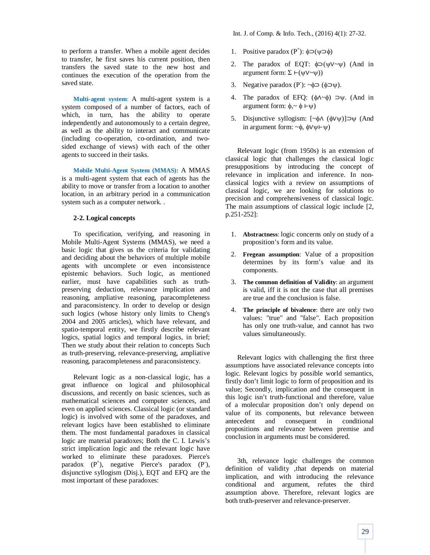to perform a transfer. When a mobile agent decides to transfer, he first saves his current position, then transfers the saved state to the new host and continues the execution of the operation from the saved state.

**Multi-agent system**: A multi-agent system is a system composed of a number of factors, each of which, in turn, has the ability to operate independently and autonomously to a certain degree, as well as the ability to interact and communicate (including co-operation, co-ordination, and twosided exchange of views) with each of the other agents to succeed in their tasks.

**Mobile Multi-Agent System (MMAS):** A MMAS is a multi-agent system that each of agents has the ability to move or transfer from a location to another location, in an arbitrary period in a communication system such as a computer network. .

## **2-2. Logical concepts**

To specification, verifying, and reasoning in Mobile Multi-Agent Systems (MMAS), we need a basic logic that gives us the criteria for validating and deciding about the behaviors of multiple mobile agents with uncomplete or even inconsistence epistemic behaviors. Such logic, as mentioned earlier, must have capabilities such as truthpreserving deduction, relevance implication and reasoning, ampliative reasoning, paracompleteness and paraconsistency. In order to develop or design such logics (whose history only limits to Cheng's 2004 and 2005 articles), which have relevant, and spatio-temporal entity, we firstly describe relevant logics, spatial logics and temporal logics, in brief; Then we study about their relation to concepts Such as truth-preserving, relevance-preserving, ampliative reasoning, paracompleteness and paraconsistency.

Relevant logic as a non-classical logic, has a great influence on logical and philosophical discussions, and recently on basic sciences, such as mathematical sciences and computer sciences, and even on applied sciences. Classical logic (or standard logic) is involved with some of the paradoxes, and relevant logics have been established to eliminate them. The most fundamental paradoxes in classical logic are material paradoxes; Both the C. I. Lewis's strict implication logic and the relevant logic have worked to eliminate these paradoxes. Pierce's paradox  $(P^+)$ , negative Pierce's paradox  $(P^{\dagger})$ , disjunctive syllogism (Disj.), EQT and EFQ are the most important of these paradoxes:

Int. J. of Comp. & Info. Tech., (2016) 4(1): 27-32.

- 1. Positive paradox  $(P^+)$ :  $\phi \supset (\psi \supset \phi)$
- 2. The paradox of EQT:  $\phi$ ⊃( $\psi$ ∨~ $\psi$ ) (And in argument form: Σ ⊢(ψV~ψ))
- 3. Negative paradox  $(P)$ : ~ $\phi \supset (\phi \supset \psi)$ .
- 4. The paradox of EFQ:  $(\phi \land \neg \phi) \supset \psi$ . (And in argument form:  $φ, ∼ φ ⊢ψ$ )
- 5. Disjunctive syllogism: [~φΛ (φVψ)]⊃ψ (And in argument form: ~ $φ$ ,  $φVψFψ$ )

Relevant logic (from 1950s) is an extension of classical logic that challenges the classical logic presuppositions by introducing the concept of relevance in implication and inference. In nonclassical logics with a review on assumptions of classical logic, we are looking for solutions to precision and comprehensiveness of classical logic. The main assumptions of classical logic include [2, p.251-252]:

- 1. **Abstractness**: logic concerns only on study of a proposition's form and its value.
- 2. **Fregean assumption**: Value of a proposition determines by its form's value and its components.
- 3. **The common definition of Validity**: an argument is valid, iff it is not the case that all premises are true and the conclusion is false.
- 4. **The principle of bivalence**: there are only two values: "true" and "false". Each proposition has only one truth-value, and cannot has two values simultaneously.

Relevant logics with challenging the first three assumptions have associated relevance concepts into logic. Relevant logics by possible world semantics, firstly don't limit logic to form of proposition and its value; Secondly, implication and the consequent in this logic isn't truth-functional and therefore, value of a molecular proposition don't only depend on value of its components, but relevance between antecedent and consequent in conditional propositions and relevance between premise and conclusion in arguments must be considered.

3th, relevance logic challenges the common definition of validity ,that depends on material implication, and with introducing the relevance conditional and argument, refutes the third assumption above. Therefore, relevant logics are both truth-preserver and relevance-preserver.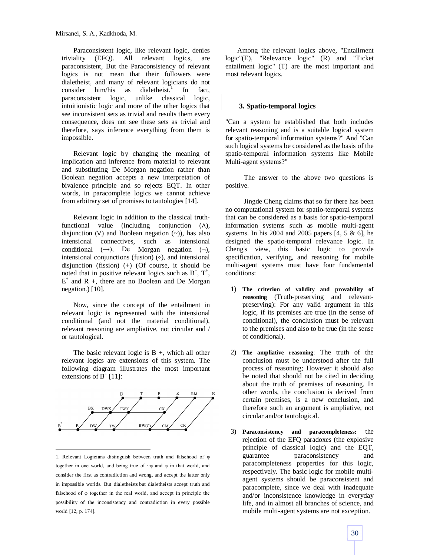Paraconsistent logic, like relevant logic, denies triviality (EFQ). All relevant logics, are paraconsistent, But the Paraconsistency of relevant logics is not mean that their followers were dialetheist, and many of relevant logicians do not consider him/his as dialetheist.<sup>1</sup> In fact, paraconsistent logic, unlike classical logic, intuitionistic logic and more of the other logics that see inconsistent sets as trivial and results them every consequence, does not see these sets as trivial and therefore, says inference everything from them is impossible.

Relevant logic by changing the meaning of implication and inference from material to relevant and substituting De Morgan negation rather than Boolean negation accepts a new interpretation of bivalence principle and so rejects EQT. In other words, in paracomplete logics we cannot achieve from arbitrary set of promises to tautologies [14].

Relevant logic in addition to the classical truthfunctional value (including conjunction (∧), disjunction  $(V)$  and Boolean negation  $(\sim)$ ), has also intensional connectives, such as intensional conditional  $(\rightarrow)$ , De Morgan negation  $(\neg)$ , intensional conjunctions (fusion) (∘), and intensional disjunction (fission) (+) (Of course, it should be noted that in positive relevant logics such as  $B^+$ ,  $T^+$ ,  $E^+$  and R +, there are no Boolean and De Morgan negation.) [10].

Now, since the concept of the entailment in relevant logic is represented with the intensional conditional (and not the material conditional), relevant reasoning are ampliative, not circular and / or tautological.

The basic relevant logic is  $B +$ , which all other relevant logics are extensions of this system. The following diagram illustrates the most important extensions of  $\overline{B}^+$  [11]:



 $\overline{a}$ 1. Relevant Logicians distinguish between truth and falsehood of φ together in one world, and being true of ~φ and φ in that world, and consider the first as contradiction and wrong, and accept the latter only in impossible worlds. But dialetheists but dialetheists accept truth and falsehood of φ together in the real world, and accept in principle the possibility of the inconsistency and contradiction in every possible world [12, p. 174].

Among the relevant logics above, "Entailment logic"(E), "Relevance logic" (R) and "Ticket entailment logic" (T) are the most important and most relevant logics.

## **3. Spatio-temporal logics**

"Can a system be established that both includes relevant reasoning and is a suitable logical system for spatio-temporal information systems?" And "Can such logical systems be considered as the basis of the spatio-temporal information systems like Mobile Multi-agent systems?"

The answer to the above two questions is positive.

Jingde Cheng claims that so far there has been no computational system for spatio-temporal systems that can be considered as a basis for spatio-temporal information systems such as mobile multi-agent systems. In his 2004 and 2005 papers  $[4, 5 \& 6]$ , he designed the spatio-temporal relevance logic. In Cheng's view, this basic logic to provide specification, verifying, and reasoning for mobile multi-agent systems must have four fundamental conditions:

- 1) **The criterion of validity and provability of reasoning** (Truth-preserving and relevantpreserving): For any valid argument in this logic, if its premises are true (in the sense of conditional), the conclusion must be relevant to the premises and also to be true (in the sense of conditional).
- 2) **The ampliative reasoning**: The truth of the conclusion must be understood after the full process of reasoning; However it should also be noted that should not be cited in deciding about the truth of premises of reasoning. In other words, the conclusion is derived from certain premises, is a new conclusion, and therefore such an argument is ampliative, not circular and/or tautological.
- 3) **Paraconsistency and paracompleteness:** the rejection of the EFQ paradoxes (the explosive principle of classical logic) and the EQT, guarantee paraconsistency and paracompleteness properties for this logic, respectively. The basic logic for mobile multiagent systems should be paraconsistent and paracomplete, since we deal with inadequate and/or inconsistence knowledge in everyday life, and in almost all branches of science, and mobile multi-agent systems are not exception.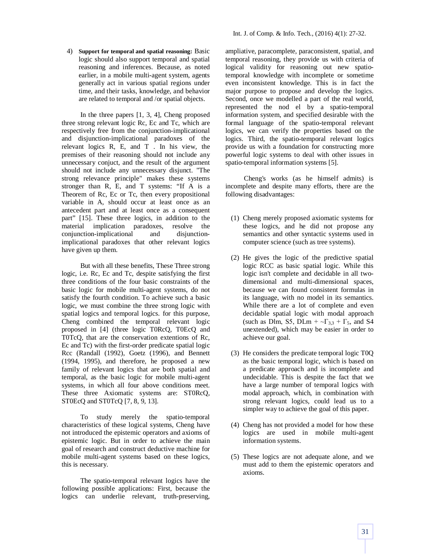4) **Support for temporal and spatial reasoning:** Basic logic should also support temporal and spatial reasoning and inferences. Because, as noted earlier, in a mobile multi-agent system, agents generally act in various spatial regions under time, and their tasks, knowledge, and behavior are related to temporal and /or spatial objects.

In the three papers [1, 3, 4], Cheng proposed three strong relevant logic Rc, Ec and Tc, which are respectively free from the conjunction-implicational and disjunction-implicational paradoxes of the relevant logics R, E, and T . In his view, the premises of their reasoning should not include any unnecessary conjuct, and the result of the argument should not include any unnecessary disjunct. "The strong relevance principle" makes these systems stronger than R, E, and T systems: "If A is a Theorem of Rc, Ec or Tc, then every propositional variable in A, should occur at least once as an antecedent part and at least once as a consequent part" [15]. These three logics, in addition to the material implication paradoxes, resolve the conjunction-implicational and disjunctionimplicational paradoxes that other relevant logics have given up them.

But with all these benefits, These Three strong logic, i.e. Rc, Ec and Tc, despite satisfying the first three conditions of the four basic constraints of the basic logic for mobile multi-agent systems, do not satisfy the fourth condition. To achieve such a basic logic, we must combine the three strong logic with spatial logics and temporal logics. for this purpose, Cheng combined the temporal relevant logic proposed in [4] (three logic T0RcQ, T0EcQ and T0TcQ, that are the conservation extentions of Rc, Ec and Tc) with the first-order predicate spatial logic Rcc (Randall (1992), Goetz (1996), and Bennett (1994, 1995), and therefore, he proposed a new family of relevant logics that are both spatial and temporal, as the basic logic for mobile multi-agent systems, in which all four above conditions meet. These three Axiomatic systems are: ST0RcQ, ST0EcQ and ST0TcQ [7, 8, 9, 13].

To study merely the spatio-temporal characteristics of these logical systems, Cheng have not introduced the epistemic operators and axioms of epistemic logic. But in order to achieve the main goal of research and construct deductive machine for mobile multi-agent systems based on these logics, this is necessary.

The spatio-temporal relevant logics have the following possible applications: First, because the logics can underlie relevant, truth-preserving, ampliative, paracomplete, paraconsistent, spatial, and temporal reasoning, they provide us with criteria of logical validity for reasoning out new spatiotemporal knowledge with incomplete or sometime even inconsistent knowledge. This is in fact the major purpose to propose and develop the logics. Second, once we modelled a part of the real world, represented the nod el by a spatio-temporal information system, and specified desirable with the formal language of the spatio-temporal relevant logics, we can verify the properties based on the logics. Third, the spatio-temporal relevant logics provide us with a foundation for constructing more powerful logic systems to deal with other issues in spatio-temporal information systems [5].

Cheng's works (as he himself admits) is incomplete and despite many efforts, there are the following disadvantages:

- (1) Cheng merely proposed axiomatic systems for these logics, and he did not propose any semantics and other syntactic systems used in computer science (such as tree systems).
- (2) He gives the logic of the predictive spatial logic RCC as basic spatial logic. While this logic isn't complete and decidable in all twodimensional and multi-dimensional spaces, because we can found consistent formulas in its language, with no model in its semantics. While there are a lot of complete and even decidable spatial logic with modal approach (such as Dlm, S5, DLm +  $\sim\Gamma_{3,3}$  +  $\Gamma_5$ , and S4 unextended), which may be easier in order to achieve our goal.
- (3) He considers the predicate temporal logic T0Q as the basic temporal logic, which is based on a predicate approach and is incomplete and undecidable. This is despite the fact that we have a large number of temporal logics with modal approach, which, in combination with strong relevant logics, could lead us to a simpler way to achieve the goal of this paper.
- (4) Cheng has not provided a model for how these logics are used in mobile multi-agent information systems.
- (5) These logics are not adequate alone, and we must add to them the epistemic operators and axioms.